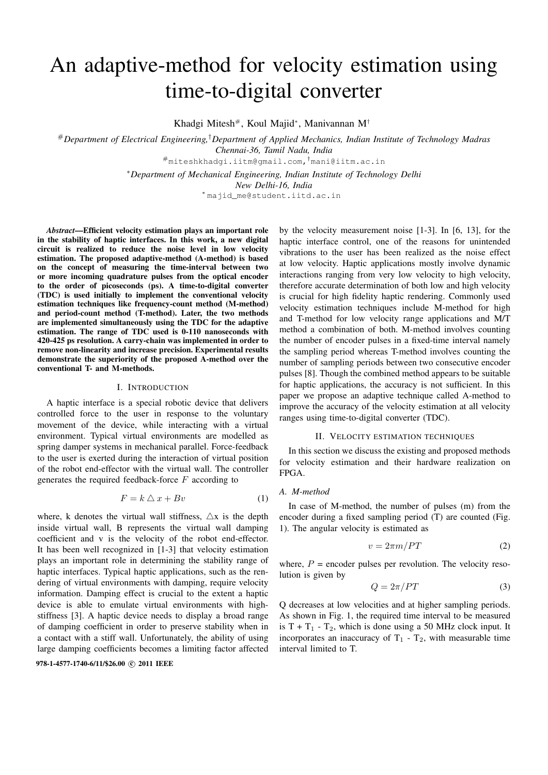# An adaptive-method for velocity estimation using time-to-digital converter

Khadgi Mitesh#, Koul Majid<sup>∗</sup> , Manivannan M†

#*Department of Electrical Engineering,*†*Department of Applied Mechanics, Indian Institute of Technology Madras Chennai-36, Tamil Nadu, India*

#miteshkhadgi.iitm@gmail.com,†mani@iitm.ac.in

<sup>∗</sup>*Department of Mechanical Engineering, Indian Institute of Technology Delhi*

*New Delhi-16, India*

<sup>∗</sup> majid\_me@student.iitd.ac.in

*Abstract*—Efficient velocity estimation plays an important role in the stability of haptic interfaces. In this work, a new digital circuit is realized to reduce the noise level in low velocity estimation. The proposed adaptive-method (A-method) is based on the concept of measuring the time-interval between two or more incoming quadrature pulses from the optical encoder to the order of picoseconds (ps). A time-to-digital converter (TDC) is used initially to implement the conventional velocity estimation techniques like frequency-count method (M-method) and period-count method (T-method). Later, the two methods are implemented simultaneously using the TDC for the adaptive estimation. The range of TDC used is 0-110 nanoseconds with 420-425 ps resolution. A carry-chain was implemented in order to remove non-linearity and increase precision. Experimental results demonstrate the superiority of the proposed A-method over the conventional T- and M-methods.

## I. INTRODUCTION

A haptic interface is a special robotic device that delivers controlled force to the user in response to the voluntary movement of the device, while interacting with a virtual environment. Typical virtual environments are modelled as spring damper systems in mechanical parallel. Force-feedback to the user is exerted during the interaction of virtual position of the robot end-effector with the virtual wall. The controller generates the required feedback-force  $F$  according to

$$
F = k \bigtriangleup x + Bv \tag{1}
$$

where, k denotes the virtual wall stiffness,  $\Delta x$  is the depth inside virtual wall, B represents the virtual wall damping coefficient and v is the velocity of the robot end-effector. It has been well recognized in [1-3] that velocity estimation plays an important role in determining the stability range of haptic interfaces. Typical haptic applications, such as the rendering of virtual environments with damping, require velocity information. Damping effect is crucial to the extent a haptic device is able to emulate virtual environments with highstiffness [3]. A haptic device needs to display a broad range of damping coefficient in order to preserve stability when in a contact with a stiff wall. Unfortunately, the ability of using large damping coefficients becomes a limiting factor affected

978-1-4577-1740-6/11/\$26.00 C 2011 IEEE

by the velocity measurement noise [1-3]. In [6, 13], for the haptic interface control, one of the reasons for unintended vibrations to the user has been realized as the noise effect at low velocity. Haptic applications mostly involve dynamic interactions ranging from very low velocity to high velocity, therefore accurate determination of both low and high velocity is crucial for high fidelity haptic rendering. Commonly used velocity estimation techniques include M-method for high and T-method for low velocity range applications and M/T method a combination of both. M-method involves counting the number of encoder pulses in a fixed-time interval namely the sampling period whereas T-method involves counting the number of sampling periods between two consecutive encoder pulses [8]. Though the combined method appears to be suitable for haptic applications, the accuracy is not sufficient. In this paper we propose an adaptive technique called A-method to improve the accuracy of the velocity estimation at all velocity ranges using time-to-digital converter (TDC).

#### II. VELOCITY ESTIMATION TECHNIQUES

In this section we discuss the existing and proposed methods for velocity estimation and their hardware realization on FPGA.

## *A. M-method*

In case of M-method, the number of pulses (m) from the encoder during a fixed sampling period (T) are counted (Fig. 1). The angular velocity is estimated as

$$
v = 2\pi m/PT \tag{2}
$$

where,  $P =$  encoder pulses per revolution. The velocity resolution is given by

$$
Q = 2\pi / PT \tag{3}
$$

Q decreases at low velocities and at higher sampling periods. As shown in Fig. 1, the required time interval to be measured is  $T + T_1 - T_2$ , which is done using a 50 MHz clock input. It incorporates an inaccuracy of  $T_1 - T_2$ , with measurable time interval limited to T.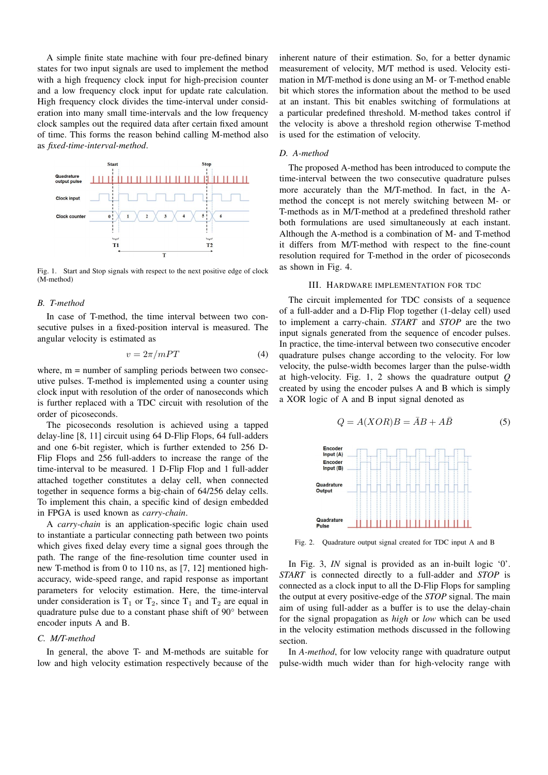A simple finite state machine with four pre-defined binary states for two input signals are used to implement the method with a high frequency clock input for high-precision counter and a low frequency clock input for update rate calculation. High frequency clock divides the time-interval under consideration into many small time-intervals and the low frequency clock samples out the required data after certain fixed amount of time. This forms the reason behind calling M-method also as *fixed-time-interval-method*.



Fig. 1. Start and Stop signals with respect to the next positive edge of clock (M-method)

### *B. T-method*

In case of T-method, the time interval between two consecutive pulses in a fixed-position interval is measured. The angular velocity is estimated as

$$
v = 2\pi / mPT \tag{4}
$$

where,  $m =$  number of sampling periods between two consecutive pulses. T-method is implemented using a counter using clock input with resolution of the order of nanoseconds which is further replaced with a TDC circuit with resolution of the order of picoseconds.

The picoseconds resolution is achieved using a tapped delay-line [8, 11] circuit using 64 D-Flip Flops, 64 full-adders and one 6-bit register, which is further extended to 256 D-Flip Flops and 256 full-adders to increase the range of the time-interval to be measured. 1 D-Flip Flop and 1 full-adder attached together constitutes a delay cell, when connected together in sequence forms a big-chain of 64/256 delay cells. To implement this chain, a specific kind of design embedded in FPGA is used known as *carry-chain*.

A *carry-chain* is an application-specific logic chain used to instantiate a particular connecting path between two points which gives fixed delay every time a signal goes through the path. The range of the fine-resolution time counter used in new T-method is from 0 to 110 ns, as [7, 12] mentioned highaccuracy, wide-speed range, and rapid response as important parameters for velocity estimation. Here, the time-interval under consideration is  $T_1$  or  $T_2$ , since  $T_1$  and  $T_2$  are equal in quadrature pulse due to a constant phase shift of 90◦ between encoder inputs A and B.

#### *C. M/T-method*

In general, the above T- and M-methods are suitable for low and high velocity estimation respectively because of the inherent nature of their estimation. So, for a better dynamic measurement of velocity, M/T method is used. Velocity estimation in M/T-method is done using an M- or T-method enable bit which stores the information about the method to be used at an instant. This bit enables switching of formulations at a particular predefined threshold. M-method takes control if the velocity is above a threshold region otherwise T-method is used for the estimation of velocity.

#### *D. A-method*

The proposed A-method has been introduced to compute the time-interval between the two consecutive quadrature pulses more accurately than the M/T-method. In fact, in the Amethod the concept is not merely switching between M- or T-methods as in M/T-method at a predefined threshold rather both formulations are used simultaneously at each instant. Although the A-method is a combination of M- and T-method it differs from M/T-method with respect to the fine-count resolution required for T-method in the order of picoseconds as shown in Fig. 4.

## III. HARDWARE IMPLEMENTATION FOR TDC

The circuit implemented for TDC consists of a sequence of a full-adder and a D-Flip Flop together (1-delay cell) used to implement a carry-chain. *START* and *STOP* are the two input signals generated from the sequence of encoder pulses. In practice, the time-interval between two consecutive encoder quadrature pulses change according to the velocity. For low velocity, the pulse-width becomes larger than the pulse-width at high-velocity. Fig. 1, 2 shows the quadrature output *Q* created by using the encoder pulses A and B which is simply a XOR logic of A and B input signal denoted as

$$
Q = A(XOR)B = \bar{A}B + A\bar{B}
$$
 (5)



Fig. 2. Quadrature output signal created for TDC input A and B

In Fig. 3, *IN* signal is provided as an in-built logic '0'. *START* is connected directly to a full-adder and *STOP* is connected as a clock input to all the D-Flip Flops for sampling the output at every positive-edge of the *STOP* signal. The main aim of using full-adder as a buffer is to use the delay-chain for the signal propagation as *high* or *low* which can be used in the velocity estimation methods discussed in the following section.

In *A-method*, for low velocity range with quadrature output pulse-width much wider than for high-velocity range with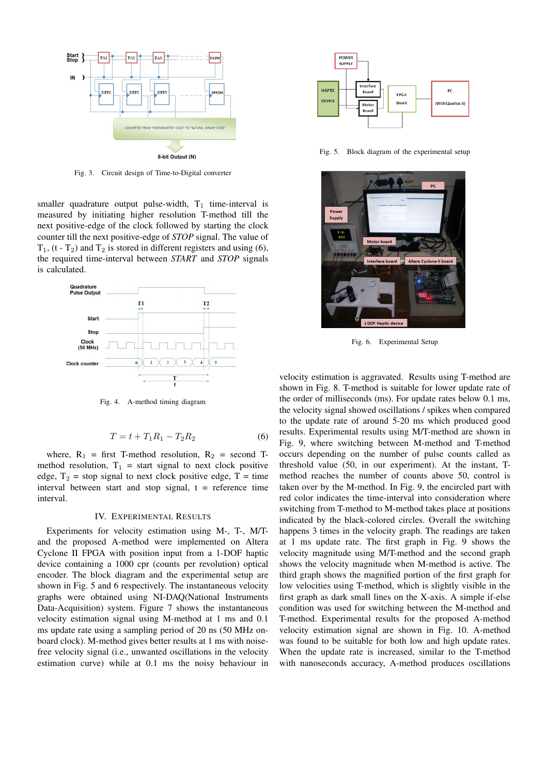

Fig. 3. Circuit design of Time-to-Digital converter

smaller quadrature output pulse-width,  $T_1$  time-interval is measured by initiating higher resolution T-method till the next positive-edge of the clock followed by starting the clock counter till the next positive-edge of *STOP* signal. The value of  $T_1$ , (t -  $T_2$ ) and  $T_2$  is stored in different registers and using (6), the required time-interval between *START* and *STOP* signals is calculated.



Fig. 4. A-method timing diagram

$$
T = t + T_1 R_1 - T_2 R_2 \tag{6}
$$

where,  $R_1$  = first T-method resolution,  $R_2$  = second Tmethod resolution,  $T_1$  = start signal to next clock positive edge,  $T_2$  = stop signal to next clock positive edge, T = time interval between start and stop signal,  $t =$  reference time interval.

## IV. EXPERIMENTAL RESULTS

Experiments for velocity estimation using M-, T-, M/Tand the proposed A-method were implemented on Altera Cyclone II FPGA with position input from a 1-DOF haptic device containing a 1000 cpr (counts per revolution) optical encoder. The block diagram and the experimental setup are shown in Fig. 5 and 6 respectively. The instantaneous velocity graphs were obtained using NI-DAQ(National Instruments Data-Acquisition) system. Figure 7 shows the instantaneous velocity estimation signal using M-method at 1 ms and 0.1 ms update rate using a sampling period of 20 ns (50 MHz onboard clock). M-method gives better results at 1 ms with noisefree velocity signal (i.e., unwanted oscillations in the velocity estimation curve) while at 0.1 ms the noisy behaviour in



Fig. 5. Block diagram of the experimental setup



Fig. 6. Experimental Setup

velocity estimation is aggravated. Results using T-method are shown in Fig. 8. T-method is suitable for lower update rate of the order of milliseconds (ms). For update rates below 0.1 ms, the velocity signal showed oscillations / spikes when compared to the update rate of around 5-20 ms which produced good results. Experimental results using M/T-method are shown in Fig. 9, where switching between M-method and T-method occurs depending on the number of pulse counts called as threshold value (50, in our experiment). At the instant, Tmethod reaches the number of counts above 50, control is taken over by the M-method. In Fig. 9, the encircled part with red color indicates the time-interval into consideration where switching from T-method to M-method takes place at positions indicated by the black-colored circles. Overall the switching happens 3 times in the velocity graph. The readings are taken at 1 ms update rate. The first graph in Fig. 9 shows the velocity magnitude using M/T-method and the second graph shows the velocity magnitude when M-method is active. The third graph shows the magnified portion of the first graph for low velocities using T-method, which is slightly visible in the first graph as dark small lines on the X-axis. A simple if-else condition was used for switching between the M-method and T-method. Experimental results for the proposed A-method velocity estimation signal are shown in Fig. 10. A-method was found to be suitable for both low and high update rates. When the update rate is increased, similar to the T-method with nanoseconds accuracy, A-method produces oscillations